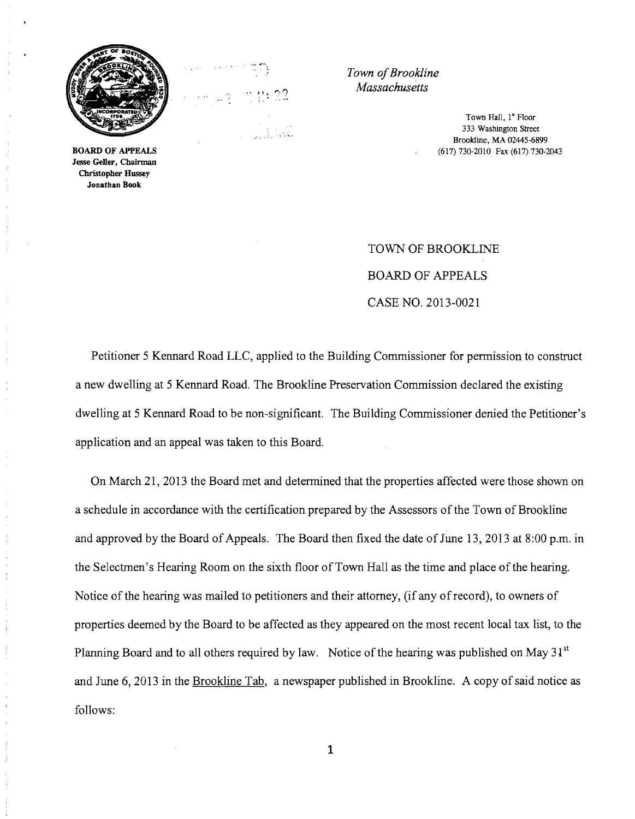

BOARD OF APPEALS Jesse Geller, Chairman Christopber Hussey Jonathan Book



**Town of Brookline** *Massachusetts* 

> Town Hall, I" Floor 333 Washington Street Brookline, MA 02445-6899 (617) 730-2010 Fax (617) 730-2043

TOWN OF BROOKLINE BOARD OF APPEALS CASE NO. 2013-0021

Petitioner 5 Kennard Road LLC, applied to the Building Commissioner for permission to construct a new dwelling at 5 Kennard Road. The Brookline Preservation Commission declared the existing dwelling at 5 Kennard Road to be non-significant. The Building Commissioner denied the Petitioner's application and an appeal was taken to this Board.

On March 21, 2013 the Board met and determined that the properties affected were those shown on a schedule in accordance with the certification prepared by the Assessors of the Town of Brookline and approved by the Board of Appeals. The Board then fixed the date of June 13,2013 at 8:00 p.m. in the Selectmen's Hearing Room on the sixth floor of Town Hall as the time and place of the hearing. Notice of the hearing was mailed to petitioners and their attorney, (if any ofrecord), to owners of properties deemed by the Board to be affected as they appeared on the most recent local tax list, to the Planning Board and to all others required by law. Notice of the hearing was published on May  $31<sup>st</sup>$ and June 6, 2013 in the Brookline Tab, a newspaper published in Brookline. A copy of said notice as follows:

1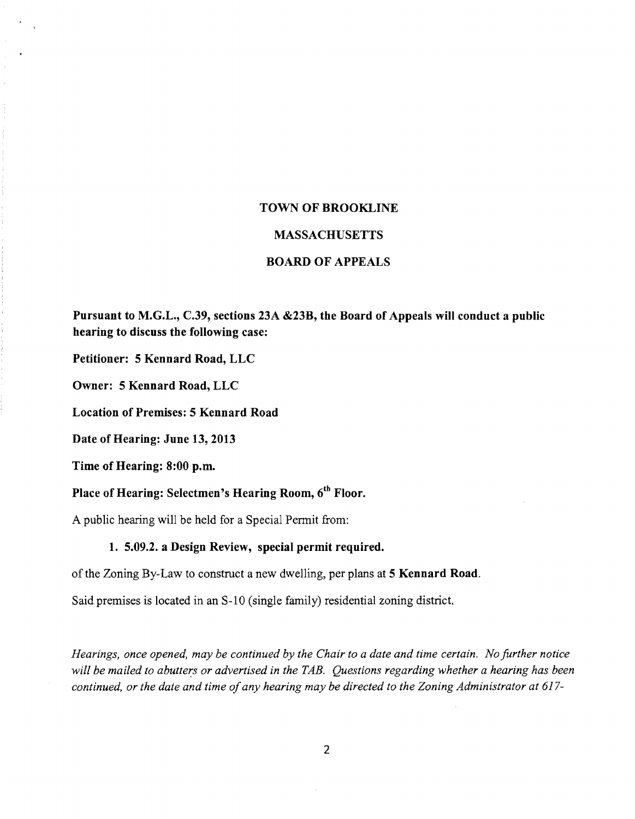# **TOWN OF BROOKLINE**

#### **MASSACHUSETTS**

# **BOARD OF APPEALS**

**Pursuant to M.G.L., C.39, sections 23A &23B, the Board of Appeals will conduct a public hearing to discuss the following case:** 

**Petitioner: 5 Kennard Road, LLC** 

**Owner: 5 Kennard Road, LLC** 

**Location of Premises: 5 Kennard Road** 

**Date of Hearing: June 13, 2013** 

**Time of Hearing: 8:00 p.m.** 

**Place of Hearing: Selectmen's Hearing Room,** 6th **Floor.** 

A public hearing will be held for a Special Permit from:

## **1. 5.09.2. a Design Review, special permit required.**

of the Zoning By-Law to construct a new dwelling, per plans at **5 Kennard Road.** 

Said premises is located in an S-10 (single family) residential zoning district.

*Hearings, once opened, may be continued by the Chair to a date and time certain. No further notice will be mailed to abutters or advertised in the TAB. Questions regarding whether a hearing has been continued, or the date and time of any hearing may be directed to the Zoning Administrator at 617-*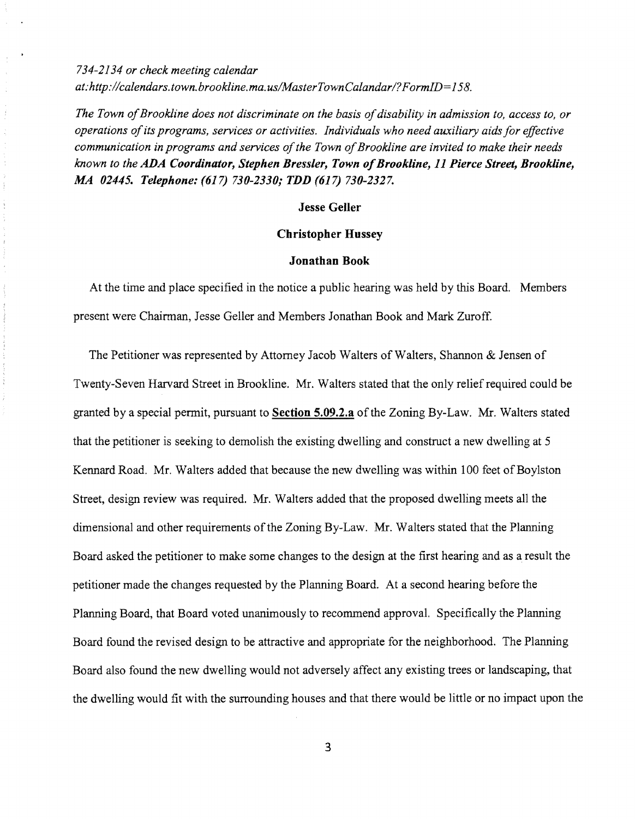*734-2134 or check meeting calendar at: http://calendars.town.brookline.ma.usIMasterTownCalandarl? FormID= 158.* 

 $\begin{array}{c} \begin{array}{c} \bullet \\ \bullet \\ \bullet \end{array} \end{array}$ 

 $\frac{1}{3}$ 

÷ ò.

The Town of Brookline does not discriminate on the basis of disability in admission to, access to, or *operations ofits programs, services or activities. Individuals who need auxiliary aids for effective communication in programs and services of the Town of Brookline are invited to make their needs known to the ADA Coordinator, Stephen Bressler, Town ofBrookline,* 11 *Pierce Street, Brookline, MA 02445. Telephone:* (617) *730-2330; TDD* (617) *730-2327.* 

#### Jesse Geller

### Christopher Hussey

#### Jonathan Book

At the time and place specified in the notice a public hearing was held by this Board. Members present were Chairman, Jesse Geller and Members Jonathan Book and Mark Zuroff.

The Petitioner was represented by Attorney Jacob Walters of Walters, Shannon & Jensen of Twenty-Seven Harvard Street in Brookline. Mr. Walters stated that the only relief required could be granted by a special permit, pursuant to Section 5.09.2.a ofthe Zoning By-Law. Mr. Walters stated that the petitioner is seeking to demolish the existing dwelling and construct a new dwelling at 5 Kennard Road. Mr. Walters added that because the new dwelling was within 100 feet of Boylston Street, design review was required. Mr. Walters added that the proposed dwelling meets all the dimensional and other requirements of the Zoning By-Law. Mr. Walters stated that the Planning Board asked the petitioner to make some changes to the design at the first hearing and as a result the petitioner made the changes requested by the Planning Board. At a second hearing before the Planning Board, that Board voted unanimously to recommend approval. Specifically the Planning Board found the revised design to be attractive and appropriate for the neighborhood. The Planning Board also found the new dwelling would not adversely affect any existing trees or landscaping, that the dwelling would fit with the surrounding houses and that there would be little or no impact upon the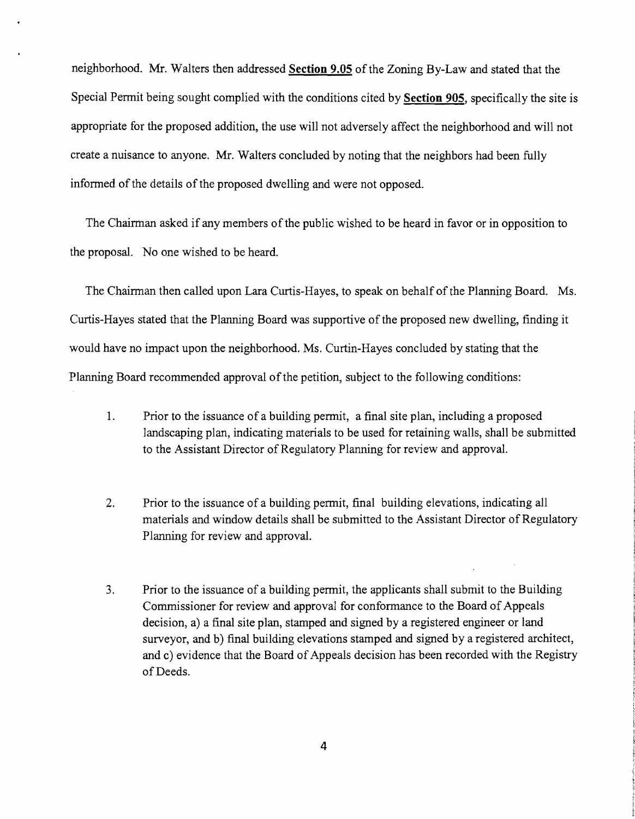neighborhood. Mr. Walters then addressed Section 9.05 of the Zoning By-Law and stated that the Special Pennit being sought complied with the conditions cited by **Section** 905, specifically the site is appropriate for the proposed addition, the use will not adversely affect the neighborhood and will not create a nuisance to anyone. Mr. Walters concluded by noting that the neighbors had been fully informed of the details of the proposed dwelling and were not opposed.

The Chairman asked if any members of the public wished to be heard in favor or in opposition to the proposal. No one wished to be heard.

The Chairman then called upon Lara Curtis-Hayes, to speak on behalf of the Planning Board. Ms. Curtis-Hayes stated that the Planning Board was supportive of the proposed new dwelling, finding it would have no impact upon the neighborhood. Ms. Curtin-Hayes concluded by stating that the Planning Board recommended approval of the petition, subject to the following conditions:

- 1. Prior to the issuance of a building permit, a final site plan, including a proposed landscaping plan, indicating materials to be used for retaining walls, shall be submitted to the Assistant Director of Regulatory Planning for review and approval.
- 2. Prior to the issuance of a building permit, final building elevations, indicating all materials and window details shall be submitted to the Assistant Director of Regulatory Planning for review and approval.
- 3. Prior to the issuance of a building permit, the applicants shall submit to the Building Commissioner for review and approval for conformance to the Board of Appeals decision, a) a final site plan, stamped and signed by a registered engineer or land surveyor, and b) final building elevations stamped and signed by a registered architect, and c) evidence that the Board of Appeals decision has been recorded with the Registry of Deeds.

4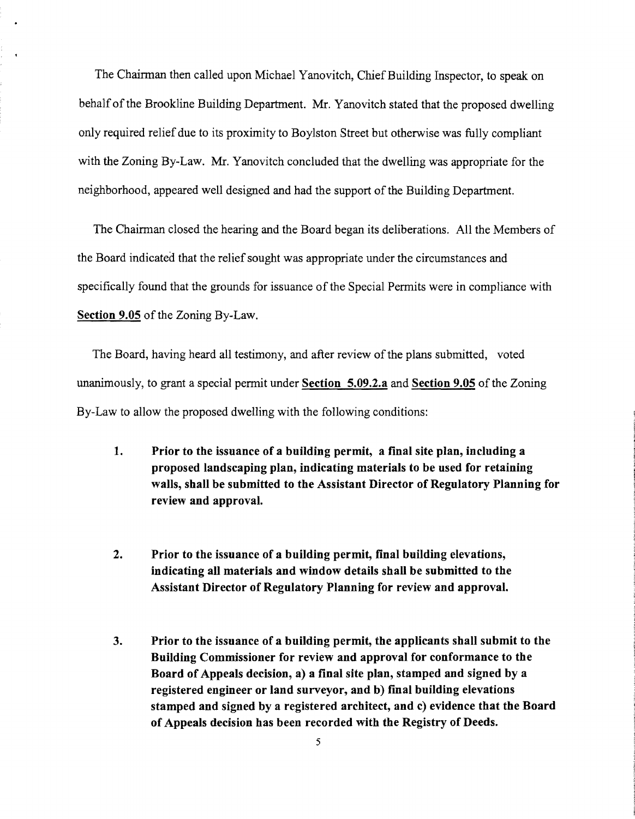The Chairman then called upon Michael Yanovitch, Chief Building Inspector, to speak on behalf of the Brookline Building Department. Mr. Yanovitch stated that the proposed dwelling only required relief due to its proximity to Boylston Street but otherwise was fully compliant with the Zoning By-Law. Mr. Yanovitch concluded that the dwelling was appropriate for the neighborhood, appeared well designed and had the support of the Building Department.

The Chairman closed the hearing and the Board began its deliberations. All the Members of the Board indicated that the relief sought was appropriate under the circumstances and specifically found that the grounds for issuance of the Special Permits were in compliance with **Section 9.05** of the Zoning By-Law.

The Board, having heard all testimony, and after review of the plans submitted, voted unanimously, to grant a special permit under **Section 5.09.2.a and Section 9.05** of the Zoning By-Law to allow the proposed dwelling with the following conditions:

- **1. Prior to the issuance of a building permit, a final site plan, including a proposed landscaping plan, indicating materials to be used for retaining walls, shall be submitted to the Assistant Director of Regulatory Planning for review and approval.**
- **2. Prior to the issuance of a building permit, final building elevations, indicating all materials and window details shall be submitted to the Assistant Director of Regulatory Planning for review and approval.**
- **3. Prior to the issuance of a building permit, the applicants shall submit to the Building Commissioner for review and approval for conformance to the Board of Appeals decision, a) a final site plan, stamped and signed by a registered engineer or land surveyor, and b) rmal building elevations stamped and signed by a registered architect, and c) evidence that the Board of Appeals decision has been recorded with the Registry of Deeds.**